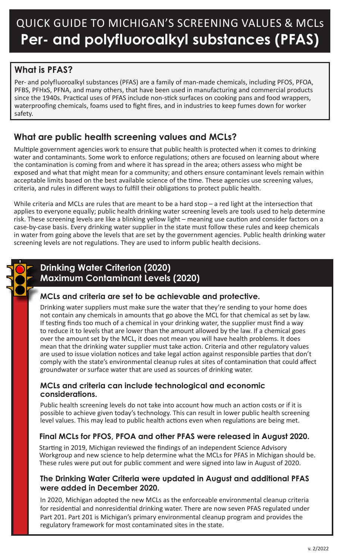# QUICK GUIDE TO MICHIGAN'S SCREENING VALUES & MCLs **Per- and polyfluoroalkyl substances (PFAS)**

# **What is PFAS?**

Per- and polyfluoroalkyl substances (PFAS) are a family of man-made chemicals, including PFOS, PFOA, PFBS, PFHxS, PFNA, and many others, that have been used in manufacturing and commercial products since the 1940s. Practical uses of PFAS include non-stick surfaces on cooking pans and food wrappers, waterproofing chemicals, foams used to fight fires, and in industries to keep fumes down for worker safety.

# **What are public health screening values and MCLs?**

Multiple government agencies work to ensure that public health is protected when it comes to drinking water and contaminants. Some work to enforce regulations; others are focused on learning about where the contamination is coming from and where it has spread in the area; others assess who might be exposed and what that might mean for a community; and others ensure contaminant levels remain within acceptable limits based on the best available science of the time. These agencies use screening values, criteria, and rules in different ways to fulfill their obligations to protect public health.

While criteria and MCLs are rules that are meant to be a hard stop – a red light at the intersection that applies to everyone equally; public health drinking water screening levels are tools used to help determine risk. These screening levels are like a blinking yellow light – meaning use caution and consider factors on a case-by-case basis. Every drinking water supplier in the state must follow these rules and keep chemicals in water from going above the levels that are set by the government agencies. Public health drinking water screening levels are not regulations. They are used to inform public health decisions.



# **Drinking Water Criterion (2020) Maximum Contaminant Levels (2020)**

# **MCLs and criteria are set to be achievable and protective.**

Drinking water suppliers must make sure the water that they're sending to your home does not contain any chemicals in amounts that go above the MCL for that chemical as set by law. If testing finds too much of a chemical in your drinking water, the supplier must find a way to reduce it to levels that are lower than the amount allowed by the law. If a chemical goes over the amount set by the MCL, it does not mean you will have health problems. It does mean that the drinking water supplier must take action. Criteria and other regulatory values are used to issue violation notices and take legal action against responsible parties that don't comply with the state's environmental cleanup rules at sites of contamination that could affect groundwater or surface water that are used as sources of drinking water.

#### **MCLs and criteria can include technological and economic considerations.**

Public health screening levels do not take into account how much an action costs or if it is possible to achieve given today's technology. This can result in lower public health screening level values. This may lead to public health actions even when regulations are being met.

# **Final MCLs for PFOS, PFOA and other PFAS were released in August 2020.**

Starting in 2019, Michigan reviewed the findings of an independent Science Advisory Workgroup and new science to help determine what the MCLs for PFAS in Michigan should be. These rules were put out for public comment and were signed into law in August of 2020.

## **The Drinking Water Criteria were updated in August and additional PFAS were added in December 2020.**

In 2020, Michigan adopted the new MCLs as the enforceable environmental cleanup criteria for residential and nonresidential drinking water. There are now seven PFAS regulated under Part 201. Part 201 is Michigan's primary environmental cleanup program and provides the regulatory framework for most contaminated sites in the state.